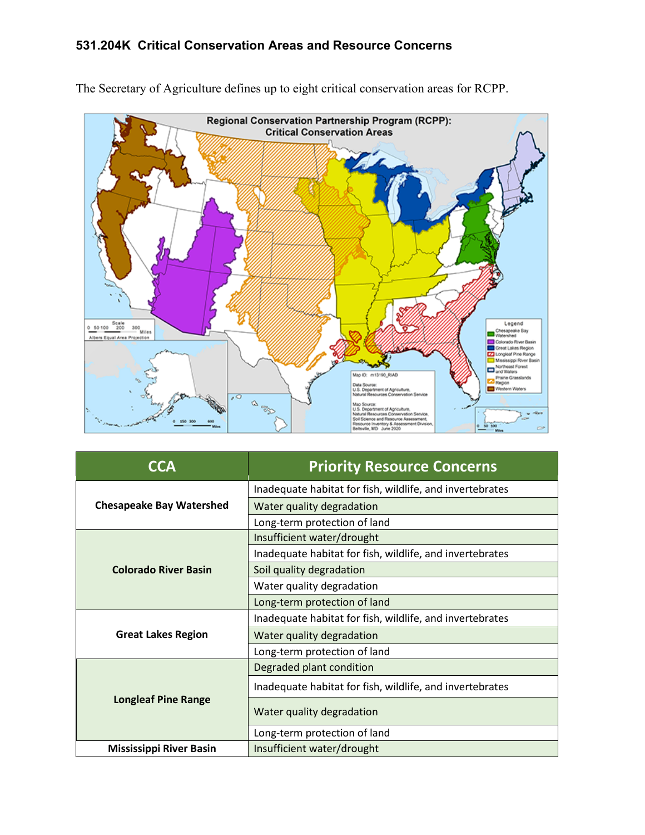## **531.204K Critical Conservation Areas and Resource Concerns**



The Secretary of Agriculture defines up to eight critical conservation areas for RCPP.

| CCA                             | <b>Priority Resource Concerns</b>                        |
|---------------------------------|----------------------------------------------------------|
| <b>Chesapeake Bay Watershed</b> | Inadequate habitat for fish, wildlife, and invertebrates |
|                                 | Water quality degradation                                |
|                                 | Long-term protection of land                             |
| <b>Colorado River Basin</b>     | Insufficient water/drought                               |
|                                 | Inadequate habitat for fish, wildlife, and invertebrates |
|                                 | Soil quality degradation                                 |
|                                 | Water quality degradation                                |
|                                 | Long-term protection of land                             |
| <b>Great Lakes Region</b>       | Inadequate habitat for fish, wildlife, and invertebrates |
|                                 | Water quality degradation                                |
|                                 | Long-term protection of land                             |
| <b>Longleaf Pine Range</b>      | Degraded plant condition                                 |
|                                 | Inadequate habitat for fish, wildlife, and invertebrates |
|                                 | Water quality degradation                                |
|                                 | Long-term protection of land                             |
| <b>Mississippi River Basin</b>  | Insufficient water/drought                               |